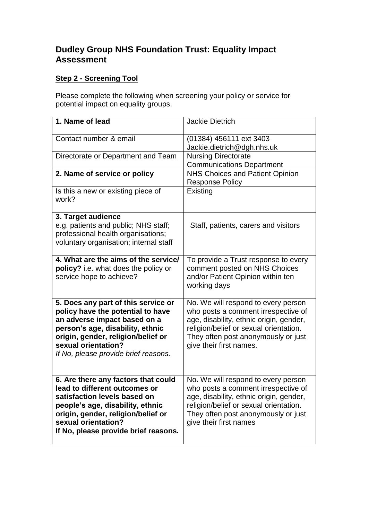## **Dudley Group NHS Foundation Trust: Equality Impact Assessment**

## **Step 2 - Screening Tool**

Please complete the following when screening your policy or service for potential impact on equality groups.

| 1. Name of lead                                                                                                                                                                                                                                   | <b>Jackie Dietrich</b>                                                                                                                                                                                                            |
|---------------------------------------------------------------------------------------------------------------------------------------------------------------------------------------------------------------------------------------------------|-----------------------------------------------------------------------------------------------------------------------------------------------------------------------------------------------------------------------------------|
| Contact number & email                                                                                                                                                                                                                            | (01384) 456111 ext 3403<br>Jackie.dietrich@dgh.nhs.uk                                                                                                                                                                             |
| Directorate or Department and Team                                                                                                                                                                                                                | <b>Nursing Directorate</b><br><b>Communications Department</b>                                                                                                                                                                    |
| 2. Name of service or policy                                                                                                                                                                                                                      | NHS Choices and Patient Opinion<br><b>Response Policy</b>                                                                                                                                                                         |
| Is this a new or existing piece of<br>work?                                                                                                                                                                                                       | Existing                                                                                                                                                                                                                          |
| 3. Target audience<br>e.g. patients and public; NHS staff;<br>professional health organisations;<br>voluntary organisation; internal staff                                                                                                        | Staff, patients, carers and visitors                                                                                                                                                                                              |
| 4. What are the aims of the service/<br>policy? i.e. what does the policy or<br>service hope to achieve?                                                                                                                                          | To provide a Trust response to every<br>comment posted on NHS Choices<br>and/or Patient Opinion within ten<br>working days                                                                                                        |
| 5. Does any part of this service or<br>policy have the potential to have<br>an adverse impact based on a<br>person's age, disability, ethnic<br>origin, gender, religion/belief or<br>sexual orientation?<br>If No, please provide brief reasons. | No. We will respond to every person<br>who posts a comment irrespective of<br>age, disability, ethnic origin, gender,<br>religion/belief or sexual orientation.<br>They often post anonymously or just<br>give their first names. |
| 6. Are there any factors that could<br>lead to different outcomes or<br>satisfaction levels based on<br>people's age, disability, ethnic<br>origin, gender, religion/belief or<br>sexual orientation?<br>If No, please provide brief reasons.     | No. We will respond to every person<br>who posts a comment irrespective of<br>age, disability, ethnic origin, gender,<br>religion/belief or sexual orientation.<br>They often post anonymously or just<br>give their first names  |